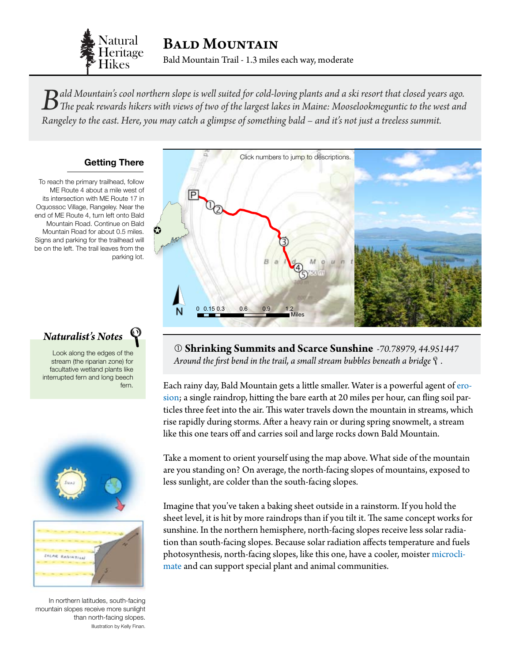

*Bald Mountain's cool northern slope is well suited for cold-loving plants and a ski resort that closed years ago. The peak rewards hikers with views of two of the largest lakes in Maine: Mooselookmeguntic to the west and Rangeley to the east. Here, you may catch a glimpse of something bald – and it's not just a treeless summit.*

### **Getting There**

To reach the primary trailhead, follow ME Route 4 about a mile west of its intersection with ME Route 17 in Oquossoc Village, Rangeley. Near the end of ME Route 4, turn left onto Bald Mountain Road. Continue on Bald Mountain Road for about 0.5 miles. Signs and parking for the trailhead will be on the left. The trail leaves from the parking lot.

## *Naturalist's Notes*

Look along the edges of the stream (the riparian zone) for facultative wetland plants like interrupted fern and long beech fern.



In northern latitudes, south-facing mountain slopes receive more sunlight than north-facing slopes. Illustration by Kelly Finan.

<span id="page-0-0"></span>

Around the first bend in the trail, a small stream bubbles beneath a bridge  $\mathcal{P}$ . **Shrinking Summits and Scarce Sunshine** *-70.78979, 44.951447*

Each rainy day, Bald Mountain gets a little smaller. Water is a powerful agent of [ero](#page-3-0)[sion](#page-3-0); a single raindrop, hitting the bare earth at 20 miles per hour, can fling soil particles three feet into the air. This water travels down the mountain in streams, which rise rapidly during storms. After a heavy rain or during spring snowmelt, a stream like this one tears off and carries soil and large rocks down Bald Mountain.

Take a moment to orient yourself using the map above. What side of the mountain are you standing on? On average, the north-facing slopes of mountains, exposed to less sunlight, are colder than the south-facing slopes.

Imagine that you've taken a baking sheet outside in a rainstorm. If you hold the sheet level, it is hit by more raindrops than if you tilt it. The same concept works for sunshine. In the northern hemisphere, north-facing slopes receive less solar radiation than south-facing slopes. Because solar radiation affects temperature and fuels photosynthesis, north-facing slopes, like this one, have a cooler, moister [microcli](#page-3-0)[mate](#page-3-0) and can support special plant and animal communities.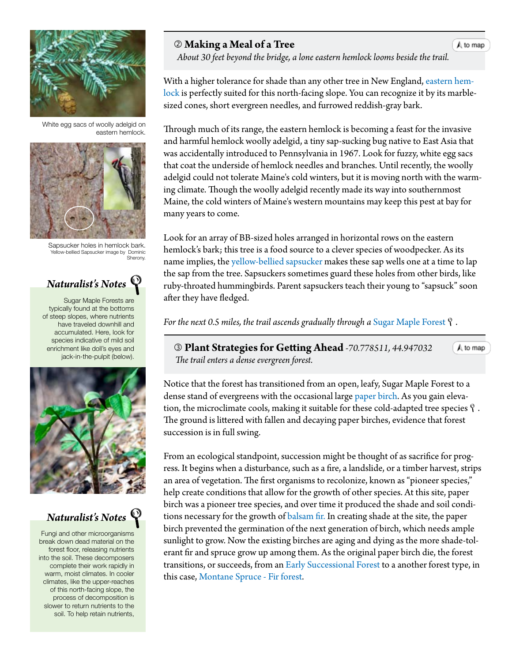

White egg sacs of woolly adelgid on eastern hemlock.



Sapsucker holes in hemlock bark. Yellow-bellied Sapsucker image by Dominic Sherony.

# *Naturalist's Notes*

Sugar Maple Forests are typically found at the bottoms of steep slopes, where nutrients have traveled downhill and accumulated. Here, look for species indicative of mild soil enrichment like doll's eyes and jack-in-the-pulpit (below).



## *Naturalist's Notes*

Fungi and other microorganisms break down dead material on the forest floor, releasing nutrients into the soil. These decomposers complete their work rapidly in warm, moist climates. In cooler climates, like the upper-reaches of this north-facing slope, the process of decomposition is slower to return nutrients to the soil. To help retain nutrients,

## **Making a Meal of a Tree**

A to map

 $A$  to map

 *About 30 feet beyond the bridge, a lone eastern hemlock looms beside the t[rail.](#page-0-0)*

With a higher tolerance for shade than any other tree in New England, [eastern hem](http://dendro.cnre.vt.edu/dendrology/syllabus/factsheet.cfm?ID=116)[lock](http://dendro.cnre.vt.edu/dendrology/syllabus/factsheet.cfm?ID=116) is perfectly suited for this north-facing slope. You can recognize it by its marblesized cones, short evergreen needles, and furrowed reddish-gray bark.

Through much of its range, the eastern hemlock is becoming a feast for the invasive and harmful hemlock woolly adelgid, a tiny sap-sucking bug native to East Asia that was accidentally introduced to Pennsylvania in 1967. Look for fuzzy, white egg sacs that coat the underside of hemlock needles and branches. Until recently, the woolly adelgid could not tolerate Maine's cold winters, but it is moving north with the warming climate. Though the woolly adelgid recently made its way into southernmost Maine, the cold winters of Maine's western mountains may keep this pest at bay for many years to come.

Look for an array of BB-sized holes arranged in horizontal rows on the eastern hemlock's bark; this tree is a food source to a clever species of woodpecker. As its name implies, the [yellow-bellied sapsucker](http://www.allaboutbirds.org/guide/Yellow-bellied_Sapsucker/id) makes these sap wells one at a time to lap the sap from the tree. Sapsuckers sometimes guard these holes from other birds, like ruby-throated hummingbirds. Parent sapsuckers teach their young to "sapsuck" soon after they have fledged.

*For the next 0.5 miles, the trail ascends gradually through a [Sugar Maple Forest](http://www.maine.gov/dacf/mnap/features/communities/semirichhardwood.htm)*  $\mathcal{P}$ .

<span id="page-1-0"></span> **Plant Strategies for Getting Ahead** *-70.778511, 44.947032 The trail enters a dense evergreen forest.*

Notice that the forest has transitioned from an open, leafy, Sugar Maple Forest to a dense stand of evergreens with the occasional large [paper birch](http://dendro.cnre.vt.edu/dendrology/syllabus/factsheet.cfm?ID=14). As you gain elevation, the microclimate cools, making it suitable for these cold-adapted tree species  $\mathcal{P}$ . The ground is littered with fallen and decaying paper birches, evidence that forest succession is in full swing.

From an ecological standpoint, succession might be thought of as sacrifice for progress. It begins when a disturbance, such as a fire, a landslide, or a timber harvest, strips an area of vegetation. The first organisms to recolonize, known as "pioneer species," help create conditions that allow for the growth of other species. At this site, paper birch was a pioneer tree species, and over time it produced the shade and soil conditions necessary for the growth of [balsam fir.](http://dendro.cnre.vt.edu/dendrology/syllabus/factsheet.cfm?ID=119) In creating shade at the site, the paper birch prevented the germination of the next generation of birch, which needs ample sunlight to grow. Now the existing birches are aging and dying as the more shade-tolerant fir and spruce grow up among them. As the original paper birch die, the forest transitions, or succeeds, from an [Early Successional Forest](http://www.maine.gov/dacf/mnap/features/communities/aspenbirch.htm) to a another forest type, in this case, [Montane Spruce - Fir forest](http://www.maine.gov/dacf/mnap/features/communities/montanesprucefirforest.htm).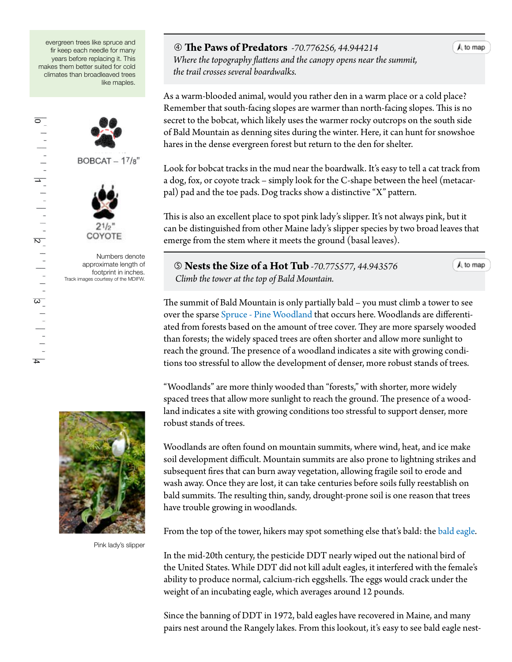evergreen trees like spruce and fir keep each needle for many years before replacing it. This makes them better suited for cold climates than broadleaved trees like maples.



Numbers denote approximate length of footprint in inches. Track images courtesy of the MDIFW.

#### **The Paws of Predators** *-70.776256, 44.944214*

 *Where the topography flattens and the canopy opens near the summit, the trail crosses several boardwalks.*

As a warm-blooded animal, would you rather den in a warm place or a cold place? Remember that south-facing slopes are warmer than north-facing slopes. This is no secret to the bobcat, which likely uses the warmer rocky outcrops on the south side of Bald Mountain as denning sites during the winter. Here, it can hunt for snowshoe hares in the dense evergreen forest but return to the den for shelter.

Look for bobcat tracks in the mud near the boardwalk. It's easy to tell a cat track from a dog, fox, or coyote track – simply look for the C-shape between the heel (metacarpal) pad and the toe pads. Dog tracks show a distinctive "X" pattern.

This is also an excellent place to spot pink lady's slipper. It's not always pink, but it can be distinguished from other Maine lady's slipper species by two broad leaves that emerge from the stem where it meets the ground (basal leaves).

 **Nests the Size of a Hot Tub** *-70.775577, 44.943576 Climb the tower at the top of Bald Mountain.*

 $A$  to map

 $A$  to map

The summit of Bald Mountain is only partially bald – you must climb a tower to see over the sparse [Spruce - Pine Woodland](http://www.maine.gov/dacf/mnap/features/communities/sprucepinewoodland.htm) that occurs here. Woodlands are differentiated from forests based on the amount of tree cover. They are more sparsely wooded than forests; the widely spaced trees are often shorter and allow more sunlight to reach the ground. The presence of a woodland indicates a site with growing condi-

tions too stressful to allow the development of denser, more robust stands of trees.

"Woodlands" are more thinly wooded than "forests," with shorter, more widely spaced trees that allow more sunlight to reach the ground. The presence of a woodland indicates a site with growing conditions too stressful to support denser, more robust stands of trees.

Woodlands are often found on mountain summits, where wind, heat, and ice make soil development difficult. Mountain summits are also prone to lightning strikes and subsequent fires that can burn away vegetation, allowing fragile soil to erode and wash away. Once they are lost, it can take centuries before soils fully reestablish on bald summits. The resulting thin, sandy, drought-prone soil is one reason that trees have trouble growing in woodlands.

From the top of the tower, hikers may spot something else that's bald: the b[ald eagle](http://www.allaboutbirds.org/guide/Bald_Eagle/id).

In the mid-20th century, the pesticide DDT nearly wiped out the national bird of the United States. While DDT did not kill adult eagles, it interfered with the female's ability to produce normal, calcium-rich eggshells. The eggs would crack under the weight of an incubating eagle, which averages around 12 pounds.

Since the banning of DDT in 1972, bald eagles have recovered in Maine, and many pairs nest around the Rangely lakes. From this lookout, it's easy to see bald eagle nest-



Pink lady's slipper